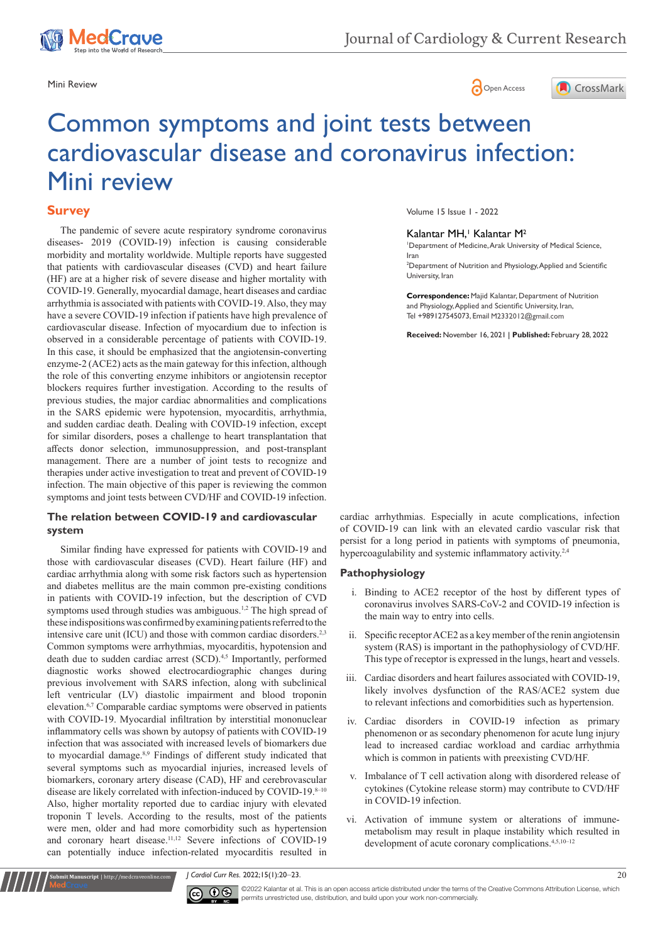





# Common symptoms and joint tests between cardiovascular disease and coronavirus infection: Mini review

# **Survey**

The pandemic of severe acute respiratory syndrome coronavirus diseases- 2019 (COVID-19) infection is causing considerable morbidity and mortality worldwide. Multiple reports have suggested that patients with cardiovascular diseases (CVD) and heart failure (HF) are at a higher risk of severe disease and higher mortality with COVID-19. Generally, myocardial damage, heart diseases and cardiac arrhythmia is associated with patients with COVID-19. Also, they may have a severe COVID-19 infection if patients have high prevalence of cardiovascular disease. Infection of myocardium due to infection is observed in a considerable percentage of patients with COVID-19. In this case, it should be emphasized that the angiotensin-converting enzyme-2 (ACE2) acts as the main gateway for this infection, although the role of this converting enzyme inhibitors or angiotensin receptor blockers requires further investigation. According to the results of previous studies, the major cardiac abnormalities and complications in the SARS epidemic were hypotension, myocarditis, arrhythmia, and sudden cardiac death. Dealing with COVID-19 infection, except for similar disorders, poses a challenge to heart transplantation that affects donor selection, immunosuppression, and post-transplant management. There are a number of joint tests to recognize and therapies under active investigation to treat and prevent of COVID-19 infection. The main objective of this paper is reviewing the common symptoms and joint tests between CVD/HF and COVID-19 infection.

# **The relation between COVID-19 and cardiovascular system**

Similar finding have expressed for patients with COVID-19 and those with cardiovascular diseases (CVD). Heart failure (HF) and cardiac arrhythmia along with some risk factors such as hypertension and diabetes mellitus are the main common pre-existing conditions in patients with COVID-19 infection, but the description of CVD symptoms used through studies was ambiguous.<sup>1,2</sup> The high spread of these indispositions was confirmed by examining patients referred to the intensive care unit (ICU) and those with common cardiac disorders.<sup>2,3</sup> Common symptoms were arrhythmias, myocarditis, hypotension and death due to sudden cardiac arrest (SCD).<sup>4,5</sup> Importantly, performed diagnostic works showed electrocardiographic changes during previous involvement with SARS infection, along with subclinical left ventricular (LV) diastolic impairment and blood troponin elevation.6,7 Comparable cardiac symptoms were observed in patients with COVID-19. Myocardial infiltration by interstitial mononuclear inflammatory cells was shown by autopsy of patients with COVID-19 infection that was associated with increased levels of biomarkers due to myocardial damage.8,9 Findings of different study indicated that several symptoms such as myocardial injuries, increased levels of biomarkers, coronary artery disease (CAD), HF and cerebrovascular disease are likely correlated with infection-induced by COVID-19.8-10 Also, higher mortality reported due to cardiac injury with elevated troponin T levels. According to the results, most of the patients were men, older and had more comorbidity such as hypertension and coronary heart disease.<sup>11,12</sup> Severe infections of COVID-19 can potentially induce infection-related myocarditis resulted in Volume 15 Issue 1 - 2022

# Kalantar MH,<sup>1</sup> Kalantar M<sup>2</sup>

1 Department of Medicine, Arak University of Medical Science, Iran

2 Department of Nutrition and Physiology, Applied and Scientific University, Iran

**Correspondence:** Majid Kalantar, Department of Nutrition and Physiology, Applied and Scientific University, Iran, Tel +989127545073, Email M2332012@gmail.com

**Received:** November 16, 2021 | **Published:** February 28, 2022

cardiac arrhythmias. Especially in acute complications, infection of COVID-19 can link with an elevated cardio vascular risk that persist for a long period in patients with symptoms of pneumonia, hypercoagulability and systemic inflammatory activity.<sup>2,4</sup>

# **Pathophysiology**

- i. Binding to ACE2 receptor of the host by different types of coronavirus involves SARS-CoV-2 and COVID-19 infection is the main way to entry into cells.
- ii. Specific receptor ACE2 as a key member of the renin angiotensin system (RAS) is important in the pathophysiology of CVD/HF. This type of receptor is expressed in the lungs, heart and vessels.
- iii. Cardiac disorders and heart failures associated with COVID-19, likely involves dysfunction of the RAS/ACE2 system due to relevant infections and comorbidities such as hypertension.
- iv. Cardiac disorders in COVID-19 infection as primary phenomenon or as secondary phenomenon for acute lung injury lead to increased cardiac workload and cardiac arrhythmia which is common in patients with preexisting CVD/HF.
- Imbalance of T cell activation along with disordered release of cytokines (Cytokine release storm) may contribute to CVD/HF in COVID-19 infection.
- vi. Activation of immune system or alterations of immunemetabolism may result in plaque instability which resulted in development of acute coronary complications.<sup>4,5,10-12</sup>

*J Cardiol Curr Res.* 2022;15(1):20‒23. 20



**Kanuscript** | http://medcraveonline.com

©2022 Kalantar et al. This is an open access article distributed under the terms of the [Creative Commons Attribution License,](https://creativecommons.org/licenses/by-nc/4.0/) which permits unrestricted use, distribution, and build upon your work non-commercially.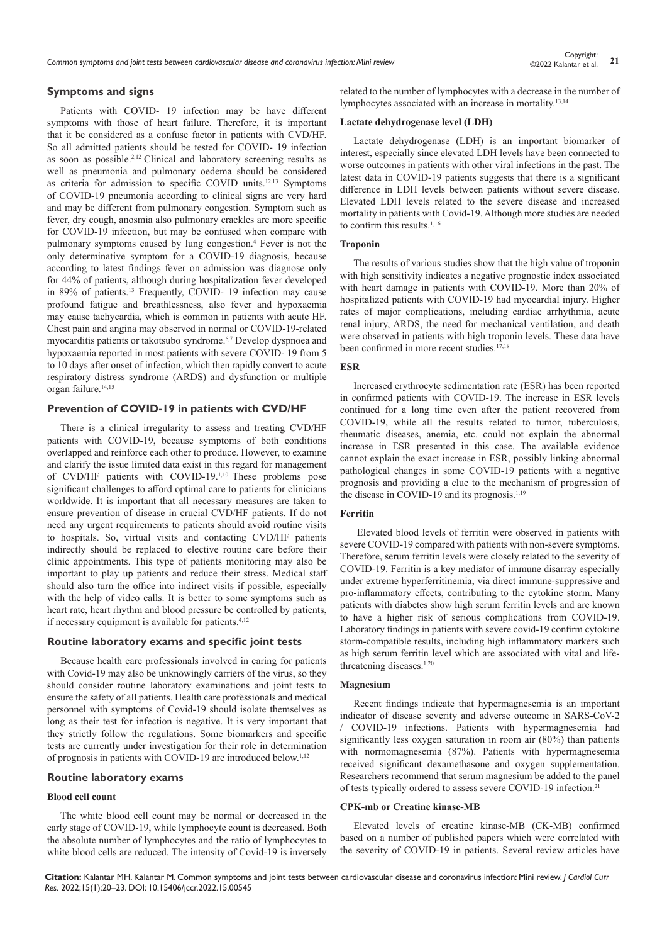*Common symptoms and joint tests between cardiovascular disease and coronavirus infection: Mini review* **<sup>21</sup>** Copyright:

# **Symptoms and signs**

Patients with COVID- 19 infection may be have different symptoms with those of heart failure. Therefore, it is important that it be considered as a confuse factor in patients with CVD/HF. So all admitted patients should be tested for COVID- 19 infection as soon as possible.2,12 Clinical and laboratory screening results as well as pneumonia and pulmonary oedema should be considered as criteria for admission to specific COVID units.12,13 Symptoms of COVID-19 pneumonia according to clinical signs are very hard and may be different from pulmonary congestion. Symptom such as fever, dry cough, anosmia also pulmonary crackles are more specific for COVID-19 infection, but may be confused when compare with pulmonary symptoms caused by lung congestion.<sup>4</sup> Fever is not the only determinative symptom for a COVID-19 diagnosis, because according to latest findings fever on admission was diagnose only for 44% of patients, although during hospitalization fever developed in 89% of patients.13 Frequently, COVID- 19 infection may cause profound fatigue and breathlessness, also fever and hypoxaemia may cause tachycardia, which is common in patients with acute HF. Chest pain and angina may observed in normal or COVID-19-related myocarditis patients or takotsubo syndrome.6,7 Develop dyspnoea and hypoxaemia reported in most patients with severe COVID- 19 from 5 to 10 days after onset of infection, which then rapidly convert to acute respiratory distress syndrome (ARDS) and dysfunction or multiple organ failure.<sup>14,15</sup>

## **Prevention of COVID-19 in patients with CVD/HF**

There is a clinical irregularity to assess and treating CVD/HF patients with COVID-19, because symptoms of both conditions overlapped and reinforce each other to produce. However, to examine and clarify the issue limited data exist in this regard for management of CVD/HF patients with COVID-19.1,10 These problems pose significant challenges to afford optimal care to patients for clinicians worldwide. It is important that all necessary measures are taken to ensure prevention of disease in crucial CVD/HF patients. If do not need any urgent requirements to patients should avoid routine visits to hospitals. So, virtual visits and contacting CVD/HF patients indirectly should be replaced to elective routine care before their clinic appointments. This type of patients monitoring may also be important to play up patients and reduce their stress. Medical staff should also turn the office into indirect visits if possible, especially with the help of video calls. It is better to some symptoms such as heart rate, heart rhythm and blood pressure be controlled by patients, if necessary equipment is available for patients.<sup>4,12</sup>

## **Routine laboratory exams and specific joint tests**

Because health care professionals involved in caring for patients with Covid-19 may also be unknowingly carriers of the virus, so they should consider routine laboratory examinations and joint tests to ensure the safety of all patients. Health care professionals and medical personnel with symptoms of Covid-19 should isolate themselves as long as their test for infection is negative. It is very important that they strictly follow the regulations. Some biomarkers and specific tests are currently under investigation for their role in determination of prognosis in patients with COVID-19 are introduced below.1,12

# **Routine laboratory exams**

#### **Blood cell count**

The white blood cell count may be normal or decreased in the early stage of COVID-19, while lymphocyte count is decreased. Both the absolute number of lymphocytes and the ratio of lymphocytes to white blood cells are reduced. The intensity of Covid-19 is inversely

related to the number of lymphocytes with a decrease in the number of lymphocytes associated with an increase in mortality.13,14

#### **Lactate dehydrogenase level (LDH)**

Lactate dehydrogenase (LDH) is an important biomarker of interest, especially since elevated LDH levels have been connected to worse outcomes in patients with other viral infections in the past. The latest data in COVID-19 patients suggests that there is a significant difference in LDH levels between patients without severe disease. Elevated LDH levels related to the severe disease and increased mortality in patients with Covid-19. Although more studies are needed to confirm this results.<sup>1,16</sup>

#### **Troponin**

The results of various studies show that the high value of troponin with high sensitivity indicates a negative prognostic index associated with heart damage in patients with COVID-19. More than 20% of hospitalized patients with COVID-19 had myocardial injury. Higher rates of major complications, including cardiac arrhythmia, acute renal injury, ARDS, the need for mechanical ventilation, and death were observed in patients with high troponin levels. These data have been confirmed in more recent studies. $17,18$ 

#### **ESR**

Increased erythrocyte sedimentation rate (ESR) has been reported in confirmed patients with COVID-19. The increase in ESR levels continued for a long time even after the patient recovered from COVID-19, while all the results related to tumor, tuberculosis, rheumatic diseases, anemia, etc. could not explain the abnormal increase in ESR presented in this case. The available evidence cannot explain the exact increase in ESR, possibly linking abnormal pathological changes in some COVID-19 patients with a negative prognosis and providing a clue to the mechanism of progression of the disease in COVID-19 and its prognosis.<sup>1,19</sup>

# **Ferritin**

Elevated blood levels of ferritin were observed in patients with severe COVID-19 compared with patients with non-severe symptoms. Therefore, serum ferritin levels were closely related to the severity of COVID-19. Ferritin is a key mediator of immune disarray especially under extreme hyperferritinemia, via direct immune-suppressive and pro-inflammatory effects, contributing to the cytokine storm. Many patients with diabetes show high serum ferritin levels and are known to have a higher risk of serious complications from COVID-19. Laboratory findings in patients with severe covid-19 confirm cytokine storm-compatible results, including high inflammatory markers such as high serum ferritin level which are associated with vital and lifethreatening diseases.<sup>1,20</sup>

#### **Magnesium**

Recent findings indicate that hypermagnesemia is an important indicator of disease severity and adverse outcome in SARS-CoV-2 / COVID-19 infections. Patients with hypermagnesemia had significantly less oxygen saturation in room air (80%) than patients with normomagnesemia (87%). Patients with hypermagnesemia received significant dexamethasone and oxygen supplementation. Researchers recommend that serum magnesium be added to the panel of tests typically ordered to assess severe COVID-19 infection.21

#### **CPK-mb or Creatine kinase-MB**

Elevated levels of creatine kinase-MB (CK-MB) confirmed based on a number of published papers which were correlated with the severity of COVID-19 in patients. Several review articles have

**Citation:** Kalantar MH, Kalantar M. Common symptoms and joint tests between cardiovascular disease and coronavirus infection: Mini review. *J Cardiol Curr Res.* 2022;15(1):20‒23. DOI: [10.15406/jccr.2022.15.00545](https://doi.org/10.15406/jccr.2022.15.00545)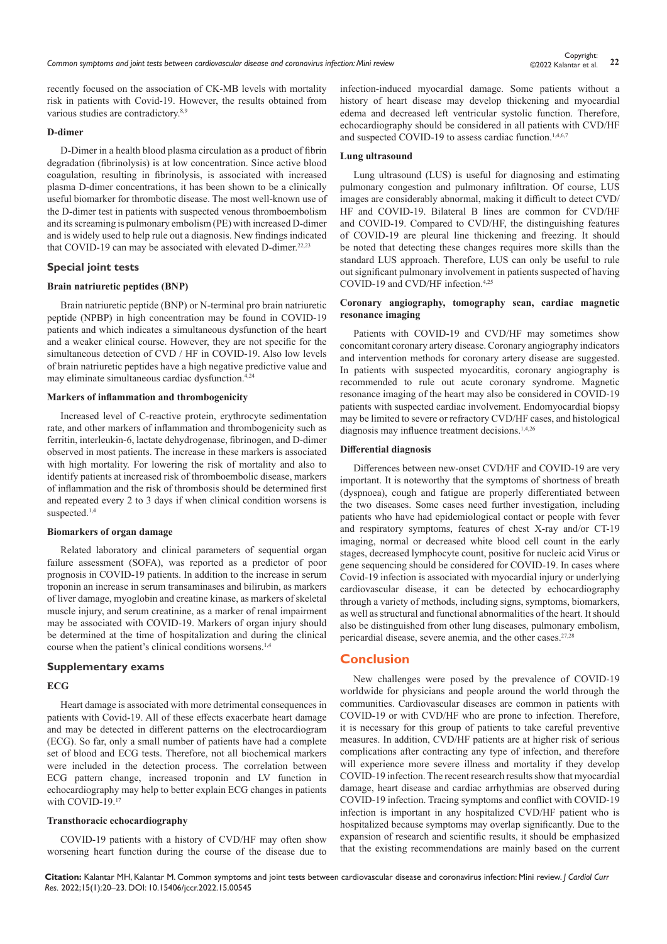recently focused on the association of CK-MB levels with mortality risk in patients with Covid-19. However, the results obtained from various studies are contradictory.<sup>8,9</sup>

# **D-dimer**

D-Dimer in a health blood plasma circulation as a product of fibrin degradation (fibrinolysis) is at low concentration. Since active blood coagulation, resulting in fibrinolysis, is associated with increased plasma D-dimer concentrations, it has been shown to be a clinically useful biomarker for thrombotic disease. The most well-known use of the D-dimer test in patients with suspected venous thromboembolism and its screaming is pulmonary embolism (PE) with increased D-dimer and is widely used to help rule out a diagnosis. New findings indicated that COVID-19 can may be associated with elevated D-dimer.<sup>22,23</sup>

## **Special joint tests**

## **Brain natriuretic peptides (BNP)**

Brain natriuretic peptide (BNP) or N-terminal pro brain natriuretic peptide (NPBP) in high concentration may be found in COVID-19 patients and which indicates a simultaneous dysfunction of the heart and a weaker clinical course. However, they are not specific for the simultaneous detection of CVD / HF in COVID-19. Also low levels of brain natriuretic peptides have a high negative predictive value and may eliminate simultaneous cardiac dysfunction.4,24

# **Markers of inflammation and thrombogenicity**

Increased level of C-reactive protein, erythrocyte sedimentation rate, and other markers of inflammation and thrombogenicity such as ferritin, interleukin-6, lactate dehydrogenase, fibrinogen, and D-dimer observed in most patients. The increase in these markers is associated with high mortality. For lowering the risk of mortality and also to identify patients at increased risk of thromboembolic disease, markers of inflammation and the risk of thrombosis should be determined first and repeated every 2 to 3 days if when clinical condition worsens is suspected.<sup>1,4</sup>

#### **Biomarkers of organ damage**

Related laboratory and clinical parameters of sequential organ failure assessment (SOFA), was reported as a predictor of poor prognosis in COVID-19 patients. In addition to the increase in serum troponin an increase in serum transaminases and bilirubin, as markers of liver damage, myoglobin and creatine kinase, as markers of skeletal muscle injury, and serum creatinine, as a marker of renal impairment may be associated with COVID-19. Markers of organ injury should be determined at the time of hospitalization and during the clinical course when the patient's clinical conditions worsens.1,4

#### **Supplementary exams**

#### **ECG**

Heart damage is associated with more detrimental consequences in patients with Covid-19. All of these effects exacerbate heart damage and may be detected in different patterns on the electrocardiogram (ECG). So far, only a small number of patients have had a complete set of blood and ECG tests. Therefore, not all biochemical markers were included in the detection process. The correlation between ECG pattern change, increased troponin and LV function in echocardiography may help to better explain ECG changes in patients with COVID-19.17

#### **Transthoracic echocardiography**

COVID-19 patients with a history of CVD/HF may often show worsening heart function during the course of the disease due to infection-induced myocardial damage. Some patients without a history of heart disease may develop thickening and myocardial edema and decreased left ventricular systolic function. Therefore, echocardiography should be considered in all patients with CVD/HF and suspected COVID-19 to assess cardiac function.<sup>1,4,6,7</sup>

#### **Lung ultrasound**

Lung ultrasound (LUS) is useful for diagnosing and estimating pulmonary congestion and pulmonary infiltration. Of course, LUS images are considerably abnormal, making it difficult to detect CVD/ HF and COVID-19. Bilateral B lines are common for CVD/HF and COVID-19. Compared to CVD/HF, the distinguishing features of COVID-19 are pleural line thickening and freezing. It should be noted that detecting these changes requires more skills than the standard LUS approach. Therefore, LUS can only be useful to rule out significant pulmonary involvement in patients suspected of having COVID-19 and CVD/HF infection.4,25

# **Coronary angiography, tomography scan, cardiac magnetic resonance imaging**

Patients with COVID-19 and CVD/HF may sometimes show concomitant coronary artery disease. Coronary angiography indicators and intervention methods for coronary artery disease are suggested. In patients with suspected myocarditis, coronary angiography is recommended to rule out acute coronary syndrome. Magnetic resonance imaging of the heart may also be considered in COVID-19 patients with suspected cardiac involvement. Endomyocardial biopsy may be limited to severe or refractory CVD/HF cases, and histological diagnosis may influence treatment decisions.<sup>1,4,26</sup>

## **Differential diagnosis**

Differences between new-onset CVD/HF and COVID-19 are very important. It is noteworthy that the symptoms of shortness of breath (dyspnoea), cough and fatigue are properly differentiated between the two diseases. Some cases need further investigation, including patients who have had epidemiological contact or people with fever and respiratory symptoms, features of chest X-ray and/or CT-19 imaging, normal or decreased white blood cell count in the early stages, decreased lymphocyte count, positive for nucleic acid Virus or gene sequencing should be considered for COVID-19. In cases where Covid-19 infection is associated with myocardial injury or underlying cardiovascular disease, it can be detected by echocardiography through a variety of methods, including signs, symptoms, biomarkers, as well as structural and functional abnormalities of the heart. It should also be distinguished from other lung diseases, pulmonary embolism, pericardial disease, severe anemia, and the other cases.<sup>27,28</sup>

# **Conclusion**

New challenges were posed by the prevalence of COVID-19 worldwide for physicians and people around the world through the communities. Cardiovascular diseases are common in patients with COVID-19 or with CVD/HF who are prone to infection. Therefore, it is necessary for this group of patients to take careful preventive measures. In addition, CVD/HF patients are at higher risk of serious complications after contracting any type of infection, and therefore will experience more severe illness and mortality if they develop COVID-19 infection. The recent research results show that myocardial damage, heart disease and cardiac arrhythmias are observed during COVID-19 infection. Tracing symptoms and conflict with COVID-19 infection is important in any hospitalized CVD/HF patient who is hospitalized because symptoms may overlap significantly. Due to the expansion of research and scientific results, it should be emphasized that the existing recommendations are mainly based on the current

**Citation:** Kalantar MH, Kalantar M. Common symptoms and joint tests between cardiovascular disease and coronavirus infection: Mini review. *J Cardiol Curr Res.* 2022;15(1):20‒23. DOI: [10.15406/jccr.2022.15.00545](https://doi.org/10.15406/jccr.2022.15.00545)